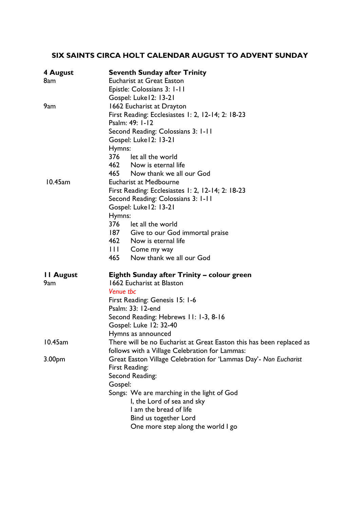# **SIX SAINTS CIRCA HOLT CALENDAR AUGUST TO ADVENT SUNDAY**

| 4 August<br>8am         | <b>Seventh Sunday after Trinity</b><br><b>Eucharist at Great Easton</b><br>Epistle: Colossians 3: 1-11<br>Gospel: Luke 12: 13-21                                                                                                                                                                           |  |
|-------------------------|------------------------------------------------------------------------------------------------------------------------------------------------------------------------------------------------------------------------------------------------------------------------------------------------------------|--|
| 9am                     | 1662 Eucharist at Drayton<br>First Reading: Ecclesiastes 1: 2, 12-14; 2: 18-23<br>Psalm: 49: 1-12<br>Second Reading: Colossians 3: 1-11<br>Gospel: Luke12: 13-21<br>Hymns:<br>376 let all the world<br>462 Now is eternal life<br>465 Now thank we all our God                                             |  |
| 10.45am                 | <b>Eucharist at Medbourne</b><br>First Reading: Ecclesiastes 1: 2, 12-14; 2: 18-23<br>Second Reading: Colossians 3: 1-11<br>Gospel: Luke 12: 13-21<br>Hymns:<br>376 let all the world<br>187 Give to our God immortal praise<br>462 Now is eternal life<br>III Come my way<br>465 Now thank we all our God |  |
| <b>II August</b><br>9am | Eighth Sunday after Trinity – colour green<br>1662 Eucharist at Blaston<br>Venue tbc<br>First Reading: Genesis 15: 1-6<br>Psalm: 33: 12-end<br>Second Reading: Hebrews 11: 1-3, 8-16<br>Gospel: Luke 12: 32-40<br>Hymns as announced                                                                       |  |
| 10.45am                 | There will be no Eucharist at Great Easton this has been replaced as<br>follows with a Village Celebration for Lammas:                                                                                                                                                                                     |  |
| 3.00 <sub>pm</sub>      | Great Easton Village Celebration for 'Lammas Day'- Non Eucharist<br>First Reading:<br>Second Reading:<br>Gospel:<br>Songs: We are marching in the light of God<br>I, the Lord of sea and sky<br>I am the bread of life<br>Bind us together Lord<br>One more step along the world I go                      |  |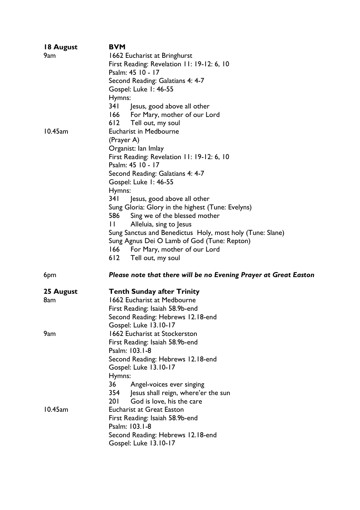| 18 August | <b>BVM</b>                                                       |  |
|-----------|------------------------------------------------------------------|--|
| 9am       | 1662 Eucharist at Bringhurst                                     |  |
|           | First Reading: Revelation 11: 19-12: 6, 10                       |  |
|           | Psalm: 45 10 - 17                                                |  |
|           | Second Reading: Galatians 4: 4-7                                 |  |
|           | Gospel: Luke 1: 46-55                                            |  |
|           | Hymns:                                                           |  |
|           | 34 I<br>Jesus, good above all other                              |  |
|           | 166 For Mary, mother of our Lord                                 |  |
|           | 612 Tell out, my soul                                            |  |
| 10.45am   | <b>Eucharist in Medbourne</b>                                    |  |
|           | (Prayer A)                                                       |  |
|           | Organist: lan Imlay                                              |  |
|           | First Reading: Revelation 11: 19-12: 6, 10                       |  |
|           | Psalm: 45 10 - 17                                                |  |
|           | Second Reading: Galatians 4: 4-7                                 |  |
|           | Gospel: Luke I: 46-55                                            |  |
|           | Hymns:                                                           |  |
|           | 34 I<br>Jesus, good above all other                              |  |
|           | Sung Gloria: Glory in the highest (Tune: Evelyns)                |  |
|           | 586<br>Sing we of the blessed mother                             |  |
|           | $\mathbf{1}$<br>Alleluia, sing to Jesus                          |  |
|           | Sung Sanctus and Benedictus Holy, most holy (Tune: Slane)        |  |
|           | Sung Agnus Dei O Lamb of God (Tune: Repton)                      |  |
|           | For Mary, mother of our Lord<br><u>166 —</u>                     |  |
|           |                                                                  |  |
|           |                                                                  |  |
|           | 612<br>Tell out, my soul                                         |  |
| 6pm       | Please note that there will be no Evening Prayer at Great Easton |  |
|           |                                                                  |  |
| 25 August | <b>Tenth Sunday after Trinity</b>                                |  |
| 8am       | 1662 Eucharist at Medbourne                                      |  |
|           | First Reading: Isaiah 58.9b-end                                  |  |
|           | Second Reading: Hebrews 12.18-end                                |  |
|           | Gospel: Luke 13.10-17                                            |  |
| 9am       | <b>1662 Eucharist at Stockerston</b>                             |  |
|           | First Reading: Isaiah 58.9b-end                                  |  |
|           | Psalm: 103.1-8                                                   |  |
|           | Second Reading: Hebrews 12.18-end                                |  |
|           | Gospel: Luke 13.10-17                                            |  |
|           | Hymns:                                                           |  |
|           | 36<br>Angel-voices ever singing                                  |  |
|           | 354<br>Jesus shall reign, where'er the sun                       |  |
|           | 201<br>God is love, his the care                                 |  |
| 10.45am   | <b>Eucharist at Great Easton</b>                                 |  |
|           | First Reading: Isaiah 58.9b-end                                  |  |
|           | Psalm: 103.1-8                                                   |  |
|           | Second Reading: Hebrews 12.18-end<br>Gospel: Luke 13.10-17       |  |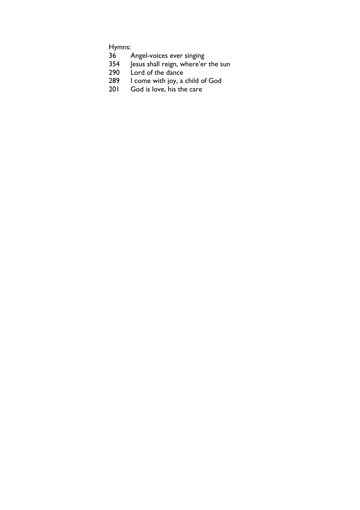Hymns:

- Angel-voices ever singing
- Jesus shall reign, where'er the sun
- 290 Lord of the dance
- I come with joy, a child of God
- God is love, his the care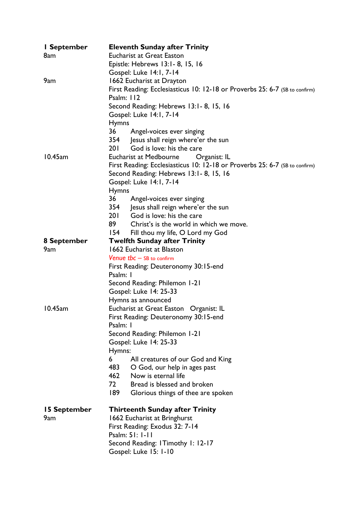| I September  | <b>Eleventh Sunday after Trinity</b>                                        |  |
|--------------|-----------------------------------------------------------------------------|--|
| 8am          | <b>Eucharist at Great Easton</b>                                            |  |
|              | Epistle: Hebrews 13:1 - 8, 15, 16                                           |  |
|              | Gospel: Luke 14:1, 7-14                                                     |  |
| 9am          | 1662 Eucharist at Drayton                                                   |  |
|              | First Reading: Ecclesiasticus 10: 12-18 or Proverbs 25: 6-7 (SB to confirm) |  |
|              | Psalm: 112                                                                  |  |
|              | Second Reading: Hebrews 13:1 - 8, 15, 16                                    |  |
|              | Gospel: Luke 14:1, 7-14                                                     |  |
|              | <b>Hymns</b>                                                                |  |
|              | 36<br>Angel-voices ever singing                                             |  |
|              | Jesus shall reign where'er the sun<br>354                                   |  |
|              | 201<br>God is love: his the care                                            |  |
| 10.45am      | Organist: IL<br>Eucharist at Medbourne                                      |  |
|              | First Reading: Ecclesiasticus 10: 12-18 or Proverbs 25: 6-7 (SB to confirm) |  |
|              | Second Reading: Hebrews 13:1-8, 15, 16                                      |  |
|              | Gospel: Luke 14:1, 7-14                                                     |  |
|              | <b>Hymns</b>                                                                |  |
|              | 36<br>Angel-voices ever singing                                             |  |
|              | 354 Jesus shall reign where'er the sun                                      |  |
|              | 201<br>God is love: his the care                                            |  |
|              | 89 —<br>Christ's is the world in which we move.                             |  |
|              | <u>154 - </u><br>Fill thou my life, O Lord my God                           |  |
| 8 September  | <b>Twelfth Sunday after Trinity</b>                                         |  |
| 9am          | 1662 Eucharist at Blaston                                                   |  |
|              | <b>Venue tbc</b> $-$ SB to confirm                                          |  |
|              | First Reading: Deuteronomy 30:15-end                                        |  |
|              | Psalm: I                                                                    |  |
|              | Second Reading: Philemon 1-21                                               |  |
|              | Gospel: Luke 14: 25-33                                                      |  |
|              | Hymns as announced                                                          |  |
| 10.45am      | Eucharist at Great Easton<br>Organist: IL                                   |  |
|              | First Reading: Deuteronomy 30:15-end                                        |  |
|              | Psalm: I                                                                    |  |
|              | Second Reading: Philemon 1-21                                               |  |
|              | Gospel: Luke 14: 25-33                                                      |  |
|              | Hymns:                                                                      |  |
|              | All creatures of our God and King<br>6                                      |  |
|              | 483<br>O God, our help in ages past                                         |  |
|              | 462<br>Now is eternal life                                                  |  |
|              | 72<br>Bread is blessed and broken                                           |  |
|              | 189<br>Glorious things of thee are spoken                                   |  |
| 15 September | <b>Thirteenth Sunday after Trinity</b>                                      |  |
| 9am          | 1662 Eucharist at Bringhurst                                                |  |
|              | First Reading: Exodus 32: 7-14                                              |  |
|              | Psalm: 51: 1-11                                                             |  |
|              | Second Reading: ITimothy I: 12-17                                           |  |
|              | Gospel: Luke 15: 1-10                                                       |  |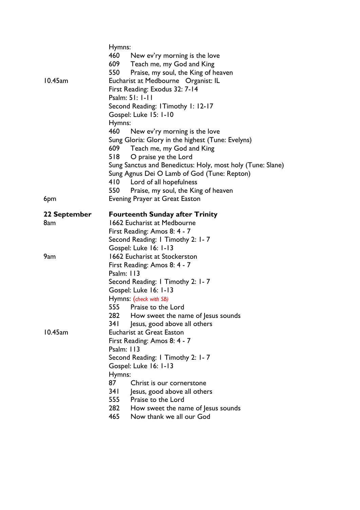|              | Hymns:                                                                       |  |  |
|--------------|------------------------------------------------------------------------------|--|--|
|              | 460 New ev'ry morning is the love                                            |  |  |
|              | 609 Teach me, my God and King                                                |  |  |
|              | 550<br>Praise, my soul, the King of heaven                                   |  |  |
| 10.45am      | Eucharist at Medbourne Organist: IL                                          |  |  |
|              | First Reading: Exodus 32: 7-14                                               |  |  |
|              | Psalm: 51: 1-11                                                              |  |  |
|              | Second Reading: ITimothy I: 12-17                                            |  |  |
|              | Gospel: Luke 15: 1-10                                                        |  |  |
|              | Hymns:                                                                       |  |  |
|              | <b>460</b><br>New ev'ry morning is the love                                  |  |  |
|              | Sung Gloria: Glory in the highest (Tune: Evelyns)                            |  |  |
|              | Teach me, my God and King<br>609                                             |  |  |
|              | 518<br>O praise ye the Lord                                                  |  |  |
|              | Sung Sanctus and Benedictus: Holy, most holy (Tune: Slane)                   |  |  |
|              | Sung Agnus Dei O Lamb of God (Tune: Repton)                                  |  |  |
|              | 410 Lord of all hopefulness                                                  |  |  |
|              | 550 Praise, my soul, the King of heaven                                      |  |  |
| 6pm          | <b>Evening Prayer at Great Easton</b>                                        |  |  |
|              |                                                                              |  |  |
| 22 September | <b>Fourteenth Sunday after Trinity</b>                                       |  |  |
| 8am          | 1662 Eucharist at Medbourne                                                  |  |  |
|              | First Reading: Amos 8: 4 - 7                                                 |  |  |
|              | Second Reading: I Timothy 2: I-7                                             |  |  |
|              | Gospel: Luke 16: 1-13                                                        |  |  |
| 9am          | <b>1662 Eucharist at Stockerston</b>                                         |  |  |
|              | First Reading: Amos 8: 4 - 7                                                 |  |  |
|              | Psalm: $113$                                                                 |  |  |
|              | Second Reading: I Timothy 2: I-7                                             |  |  |
|              | Gospel: Luke 16: 1-13                                                        |  |  |
|              | Hymns: (check with SB)                                                       |  |  |
|              | 555 Praise to the Lord                                                       |  |  |
|              | How sweet the name of Jesus sounds<br>282 -                                  |  |  |
|              | 341<br>Jesus, good above all others                                          |  |  |
| 10.45am      | <b>Eucharist at Great Easton</b>                                             |  |  |
|              | First Reading: Amos 8: 4 - 7                                                 |  |  |
|              | Psalm: 113                                                                   |  |  |
|              | Second Reading: I Timothy 2: 1-7                                             |  |  |
|              | Gospel: Luke 16: 1-13                                                        |  |  |
|              | Hymns:                                                                       |  |  |
|              | 87<br>Christ is our cornerstone                                              |  |  |
|              |                                                                              |  |  |
|              | 341<br>Jesus, good above all others                                          |  |  |
|              | 555 Praise to the Lord                                                       |  |  |
|              | 282<br>How sweet the name of Jesus sounds<br>465<br>Now thank we all our God |  |  |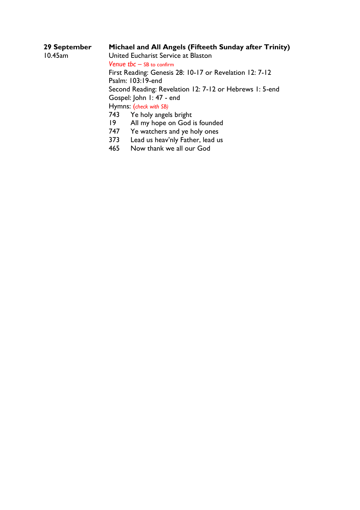| 29 September | Michael and All Angels (Fifteeth Sunday after Trinity)  |                                  |
|--------------|---------------------------------------------------------|----------------------------------|
| 10.45am      | United Eucharist Service at Blaston                     |                                  |
|              | <b>Venue tbc <math>-</math> SB to confirm</b>           |                                  |
|              | First Reading: Genesis 28: 10-17 or Revelation 12: 7-12 |                                  |
|              |                                                         | Psalm: 103:19-end                |
|              | Second Reading: Revelation 12: 7-12 or Hebrews 1: 5-end |                                  |
|              |                                                         | Gospel: John 1: 47 - end         |
|              |                                                         | Hymns: (check with SB)           |
|              | 743                                                     | Ye holy angels bright            |
|              | 19                                                      | All my hope on God is founded    |
|              | 747                                                     | Ye watchers and ye holy ones     |
|              | 373                                                     | Lead us heav'nly Father, lead us |
|              | 465                                                     | Now thank we all our God         |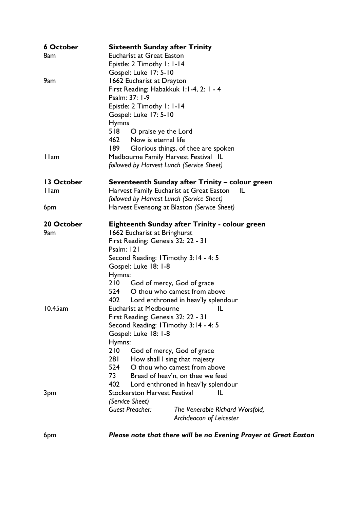| <b>6 October</b> | <b>Sixteenth Sunday after Trinity</b>                                     |  |  |
|------------------|---------------------------------------------------------------------------|--|--|
| 8am              | <b>Eucharist at Great Easton</b>                                          |  |  |
|                  | Epistle: 2 Timothy I: I-14                                                |  |  |
|                  | Gospel: Luke 17: 5-10                                                     |  |  |
| 9am              | 1662 Eucharist at Drayton                                                 |  |  |
|                  | First Reading: Habakkuk 1:1-4, 2: 1 - 4                                   |  |  |
|                  | Psalm: 37: 1-9                                                            |  |  |
|                  | Epistle: 2 Timothy I: I-14                                                |  |  |
|                  | Gospel: Luke 17: 5-10                                                     |  |  |
|                  | <b>Hymns</b>                                                              |  |  |
|                  | 518<br>O praise ye the Lord                                               |  |  |
|                  | 462 Now is eternal life                                                   |  |  |
|                  | 189<br>Glorious things, of thee are spoken                                |  |  |
| I lam            | Medbourne Family Harvest Festival IL                                      |  |  |
|                  | followed by Harvest Lunch (Service Sheet)                                 |  |  |
|                  |                                                                           |  |  |
| 13 October       | Seventeenth Sunday after Trinity – colour green                           |  |  |
| I lam            | Harvest Family Eucharist at Great Easton<br>ΙL                            |  |  |
|                  | followed by Harvest Lunch (Service Sheet)                                 |  |  |
| 6pm              | Harvest Evensong at Blaston (Service Sheet)                               |  |  |
|                  |                                                                           |  |  |
| 20 October       | <b>Eighteenth Sunday after Trinity - colour green</b>                     |  |  |
| 9am              | 1662 Eucharist at Bringhurst                                              |  |  |
|                  | First Reading: Genesis 32: 22 - 31                                        |  |  |
|                  | Psalm: 121                                                                |  |  |
|                  | Second Reading: ITimothy 3:14 - 4:5                                       |  |  |
|                  | Gospel: Luke 18: 1-8                                                      |  |  |
|                  | Hymns:                                                                    |  |  |
|                  | 210<br>God of mercy, God of grace                                         |  |  |
|                  | O thou who camest from above<br>524                                       |  |  |
| 10.45am          | 402<br>Lord enthroned in heav'ly splendour                                |  |  |
|                  | <b>Eucharist at Medbourne</b><br>IL<br>First Reading: Genesis 32: 22 - 31 |  |  |
|                  |                                                                           |  |  |
|                  | Second Reading: I Timothy 3:14 - 4:5<br>Gospel: Luke 18: 1-8              |  |  |
|                  | Hymns:                                                                    |  |  |
|                  | 210                                                                       |  |  |
|                  | God of mercy, God of grace<br>281<br>How shall I sing that majesty        |  |  |
|                  | 524<br>O thou who camest from above                                       |  |  |
|                  | 73<br>Bread of heav'n, on thee we feed                                    |  |  |
|                  | 402<br>Lord enthroned in heav'ly splendour                                |  |  |
|                  | <b>Stockerston Harvest Festival</b><br>IL                                 |  |  |
| 3pm              | (Service Sheet)                                                           |  |  |
|                  | <b>Guest Preacher:</b>                                                    |  |  |
|                  | The Venerable Richard Worsfold,                                           |  |  |
|                  | Archdeacon of Leicester                                                   |  |  |
| 6pm              | Please note that there will be no Evening Prayer at Great Easton          |  |  |
|                  |                                                                           |  |  |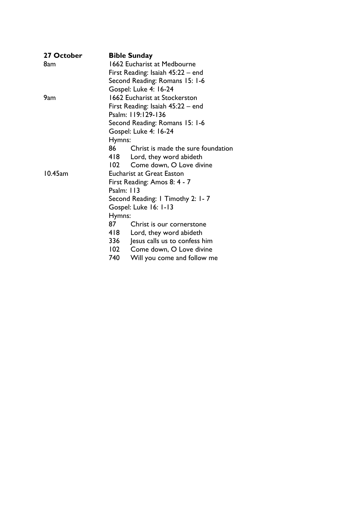| 27 October | <b>Bible Sunday</b>                        |
|------------|--------------------------------------------|
| 8am        | 1662 Eucharist at Medbourne                |
|            | First Reading: Isaiah 45:22 – end          |
|            | Second Reading: Romans 15: 1-6             |
|            | Gospel: Luke 4: 16-24                      |
| 9am        | 1662 Eucharist at Stockerston              |
|            | First Reading: Isaiah 45:22 – end          |
|            | Psalm: 119:129-136                         |
|            | Second Reading: Romans 15: 1-6             |
|            | Gospel: Luke 4: 16-24                      |
|            | Hymns:                                     |
|            | 86 —<br>Christ is made the sure foundation |
|            | 418 Lord, they word abideth                |
|            | 102 Come down, O Love divine               |
| 10.45am    | <b>Eucharist at Great Easton</b>           |
|            | First Reading: Amos 8: 4 - 7               |
|            | Psalm: $113$                               |
|            | Second Reading: I Timothy 2: I-7           |
|            | Gospel: Luke 16: 1-13                      |
|            | Hymns:                                     |
|            | 87<br>Christ is our cornerstone            |
|            | 418<br>Lord, they word abideth             |
|            | 336<br>Jesus calls us to confess him       |
|            | 102<br>Come down, O Love divine            |
|            | 740<br>Will you come and follow me         |
|            |                                            |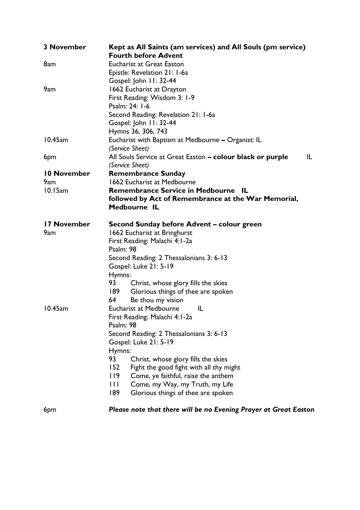| <b>3 November</b> | Kept as All Saints (am services) and All Souls (pm service)<br><b>Fourth before Advent</b> |  |  |
|-------------------|--------------------------------------------------------------------------------------------|--|--|
| 8am               | <b>Eucharist at Great Easton</b>                                                           |  |  |
|                   | Epistle: Revelation 21: 1-6a                                                               |  |  |
|                   | Gospel: John 11: 32-44                                                                     |  |  |
| 9am               | 1662 Eucharist at Drayton                                                                  |  |  |
|                   | First Reading: Wisdom 3: 1-9                                                               |  |  |
|                   | Psalm: 24: 1-6                                                                             |  |  |
|                   | Second Reading: Revelation 21: 1-6a                                                        |  |  |
|                   | Gospel: John 11: 32-44                                                                     |  |  |
|                   | Hymns 36, 306, 743                                                                         |  |  |
| 10.45am           | Eucharist with Baptism at Medbourne - Organist: IL                                         |  |  |
|                   | (Service Sheet)                                                                            |  |  |
| 6pm               | All Souls Service at Great Easton - colour black or purple<br>IL.                          |  |  |
|                   | (Service Sheet)                                                                            |  |  |
| 10 November       | <b>Remembrance Sunday</b>                                                                  |  |  |
| 9am               | 1662 Eucharist at Medbourne                                                                |  |  |
| 10.15am           | <b>Remembrance Service in Medbourne IL</b>                                                 |  |  |
|                   | followed by Act of Remembrance at the War Memorial,                                        |  |  |
|                   | Medbourne IL                                                                               |  |  |
| 17 November       | Second Sunday before Advent – colour green                                                 |  |  |
| 9am               | 1662 Eucharist at Bringhurst                                                               |  |  |
|                   | First Reading: Malachi 4:1-2a                                                              |  |  |
|                   | Psalm: 98                                                                                  |  |  |
|                   | Second Reading: 2 Thessalonians 3: 6-13                                                    |  |  |
|                   | Gospel: Luke 21: 5-19                                                                      |  |  |
|                   | Hymns:                                                                                     |  |  |
|                   | 93<br>Christ, whose glory fills the skies                                                  |  |  |
|                   | 189<br>Glorious things of thee are spoken                                                  |  |  |
|                   | 64<br>Be thou my vision                                                                    |  |  |
| 10.45am           | Eucharist at Medbourne<br>IL                                                               |  |  |
|                   | First Reading: Malachi 4:1-2a                                                              |  |  |
|                   | Psalm: 98                                                                                  |  |  |
|                   | Second Reading: 2 Thessalonians 3: 6-13                                                    |  |  |
|                   | Gospel: Luke 21: 5-19                                                                      |  |  |
|                   | Hymns:                                                                                     |  |  |
|                   | 93<br>Christ, whose glory fills the skies                                                  |  |  |
|                   | 152<br>Fight the good fight with all thy might                                             |  |  |
|                   | 119<br>Come, ye faithful, raise the anthem                                                 |  |  |
|                   | Ш<br>Come, my Way, my Truth, my Life                                                       |  |  |
|                   | 189<br>Glorious things of thee are spoken                                                  |  |  |
| 6pm               | Please note that there will be no Evening Prayer at Great Easton                           |  |  |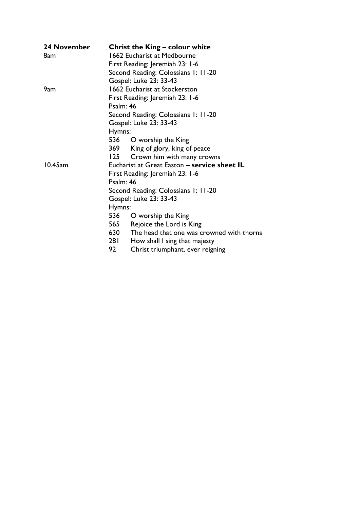| 24 November | <b>Christ the King - colour white</b>            |  |  |
|-------------|--------------------------------------------------|--|--|
| 8am         | 1662 Eucharist at Medbourne                      |  |  |
|             | First Reading: Jeremiah 23: 1-6                  |  |  |
|             | Second Reading: Colossians 1: 11-20              |  |  |
|             | Gospel: Luke 23: 33-43                           |  |  |
| 9am         | <b>1662 Eucharist at Stockerston</b>             |  |  |
|             | First Reading: Jeremiah 23: 1-6                  |  |  |
|             | Psalm: 46                                        |  |  |
|             | Second Reading: Colossians 1: 11-20              |  |  |
|             | Gospel: Luke 23: 33-43                           |  |  |
|             | Hymns:                                           |  |  |
|             | 536 O worship the King                           |  |  |
|             | 369 King of glory, king of peace                 |  |  |
|             | 125<br>Crown him with many crowns                |  |  |
| 10.45am     | Eucharist at Great Easton - service sheet IL     |  |  |
|             | First Reading: Jeremiah 23: 1-6                  |  |  |
|             | Psalm: 46                                        |  |  |
|             | Second Reading: Colossians 1: 11-20              |  |  |
|             | Gospel: Luke 23: 33-43                           |  |  |
|             | Hymns:                                           |  |  |
|             | 536 O worship the King                           |  |  |
|             | 565 Rejoice the Lord is King                     |  |  |
|             | 630<br>The head that one was crowned with thorns |  |  |
|             | 281<br>How shall I sing that majesty             |  |  |
|             | 92<br>Christ triumphant, ever reigning           |  |  |
|             |                                                  |  |  |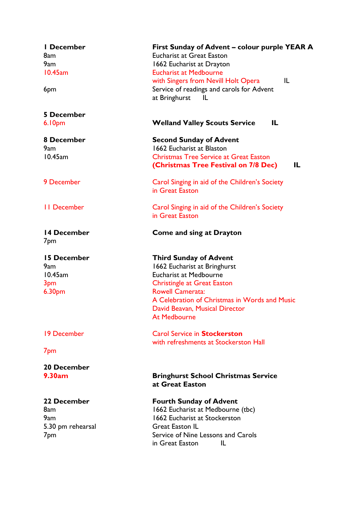| I December<br>8am<br>9am<br>10.45am<br>6pm                        | First Sunday of Advent – colour purple YEAR A<br><b>Eucharist at Great Easton</b><br>1662 Eucharist at Drayton<br><b>Eucharist at Medbourne</b><br>with Singers from Nevill Holt Opera<br>IL<br>Service of readings and carols for Advent<br>at Bringhurst<br>ΙL          |
|-------------------------------------------------------------------|---------------------------------------------------------------------------------------------------------------------------------------------------------------------------------------------------------------------------------------------------------------------------|
| <b>5 December</b><br>6.10 <sub>pm</sub>                           | <b>Welland Valley Scouts Service</b><br>IL                                                                                                                                                                                                                                |
| 8 December<br>9am<br>10.45am                                      | <b>Second Sunday of Advent</b><br>1662 Eucharist at Blaston<br><b>Christmas Tree Service at Great Easton</b><br>(Christmas Tree Festival on 7/8 Dec)<br>IL                                                                                                                |
| 9 December                                                        | Carol Singing in aid of the Children's Society<br>in Great Easton                                                                                                                                                                                                         |
| <b>II</b> December                                                | Carol Singing in aid of the Children's Society<br>in Great Easton                                                                                                                                                                                                         |
| 14 December<br>7pm                                                | <b>Come and sing at Drayton</b>                                                                                                                                                                                                                                           |
| 15 December<br>9am<br>10.45am<br>3pm<br>6.30 <sub>pm</sub>        | <b>Third Sunday of Advent</b><br>1662 Eucharist at Bringhurst<br><b>Eucharist at Medbourne</b><br><b>Christingle at Great Easton</b><br><b>Rowell Camerata:</b><br>A Celebration of Christmas in Words and Music<br>David Beavan, Musical Director<br><b>At Medbourne</b> |
| 19 December                                                       | <b>Carol Service in Stockerston</b><br>with refreshments at Stockerston Hall                                                                                                                                                                                              |
| 7 <sub>pm</sub>                                                   |                                                                                                                                                                                                                                                                           |
| 20 December<br>9.30am                                             | <b>Bringhurst School Christmas Service</b><br>at Great Easton                                                                                                                                                                                                             |
| 22 December<br>8am<br>9am<br>5.30 pm rehearsal<br>7 <sub>pm</sub> | <b>Fourth Sunday of Advent</b><br>1662 Eucharist at Medbourne (tbc)<br>1662 Eucharist at Stockerston<br><b>Great Easton IL</b><br>Service of Nine Lessons and Carols<br>in Great Easton<br>IL                                                                             |